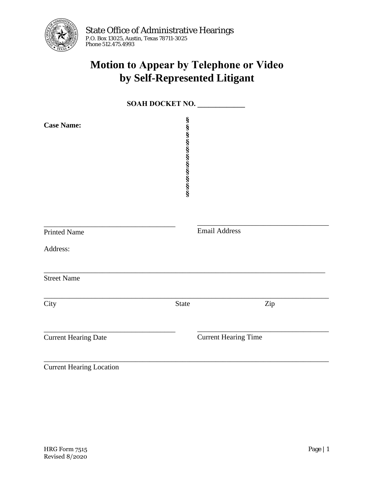

## **Motion to Appear by Telephone or Video by Self-Represented Litigant**

| SOAH DOCKET NO.                 |                    |                             |  |
|---------------------------------|--------------------|-----------------------------|--|
| <b>Case Name:</b>               | တကေတကေတာတာတာတာတာတာ |                             |  |
| <b>Printed Name</b><br>Address: |                    | <b>Email Address</b>        |  |
| <b>Street Name</b>              |                    |                             |  |
| City                            | <b>State</b>       | $\rm{Zip}$                  |  |
| <b>Current Hearing Date</b>     |                    | <b>Current Hearing Time</b> |  |
| <b>Current Hearing Location</b> |                    |                             |  |